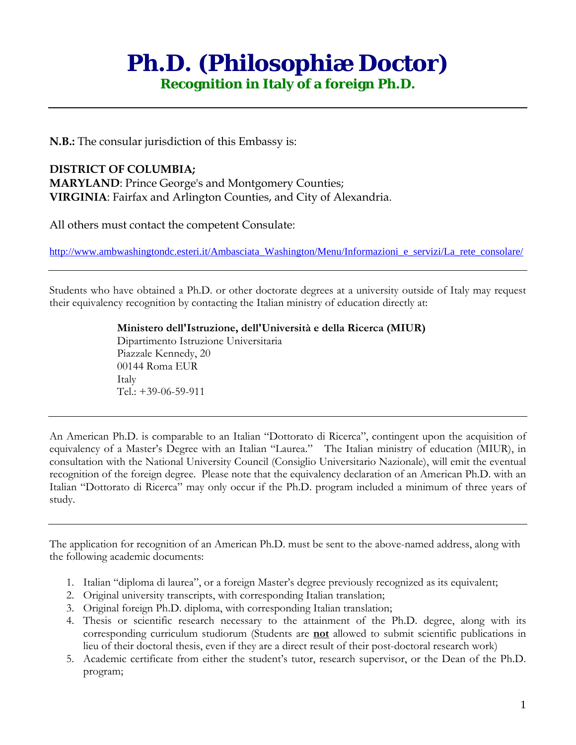# **Ph.D. (Philosophiæ Doctor)**

**Recognition in Italy of a foreign Ph.D.** 

**N.B.:** The consular jurisdiction of this Embassy is:

### **DISTRICT OF COLUMBIA;**

**MARYLAND**: Prince George's and Montgomery Counties; **VIRGINIA**: Fairfax and Arlington Counties, and City of Alexandria.

All others must contact the competent Consulate:

http://www.ambwashingtondc.esteri.it/Ambasciata\_Washington/Menu/Informazioni\_e\_servizi/La\_rete\_consolare/

Students who have obtained a Ph.D. or other doctorate degrees at a university outside of Italy may request their equivalency recognition by contacting the Italian ministry of education directly at:

> **Ministero dell'Istruzione, dell'Università e della Ricerca (MIUR)** Dipartimento Istruzione Universitaria Piazzale Kennedy, 20 00144 Roma EUR Italy Tel.: +39-06-59-911

An American Ph.D. is comparable to an Italian "Dottorato di Ricerca", contingent upon the acquisition of equivalency of a Master's Degree with an Italian "Laurea." The Italian ministry of education (MIUR), in consultation with the National University Council (Consiglio Universitario Nazionale), will emit the eventual recognition of the foreign degree. Please note that the equivalency declaration of an American Ph.D. with an Italian "Dottorato di Ricerca" may only occur if the Ph.D. program included a minimum of three years of study.

The application for recognition of an American Ph.D. must be sent to the above-named address, along with the following academic documents:

- 1. Italian "diploma di laurea", or a foreign Master's degree previously recognized as its equivalent;
- 2. Original university transcripts, with corresponding Italian translation;
- 3. Original foreign Ph.D. diploma, with corresponding Italian translation;
- 4. Thesis or scientific research necessary to the attainment of the Ph.D. degree, along with its corresponding curriculum studiorum (Students are **not** allowed to submit scientific publications in lieu of their doctoral thesis, even if they are a direct result of their post-doctoral research work)
- 5. Academic certificate from either the student's tutor, research supervisor, or the Dean of the Ph.D. program;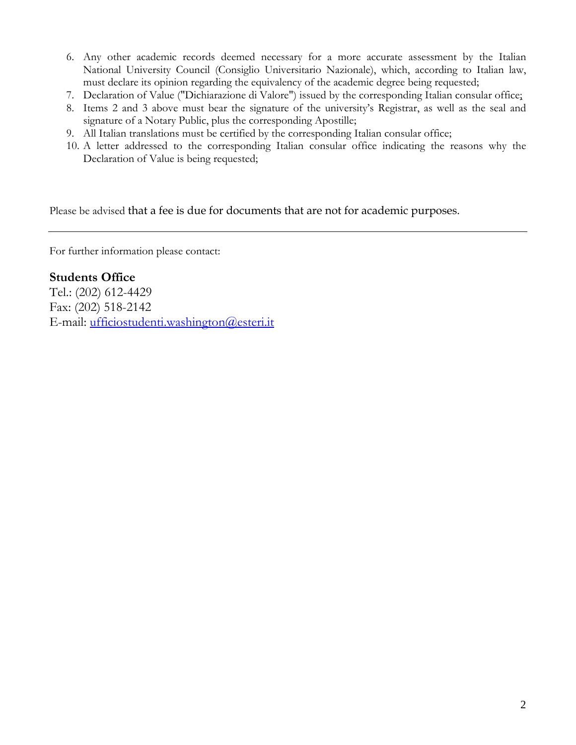- 6. Any other academic records deemed necessary for a more accurate assessment by the Italian National University Council (Consiglio Universitario Nazionale), which, according to Italian law, must declare its opinion regarding the equivalency of the academic degree being requested;
- 7. Declaration of Value ("Dichiarazione di Valore") issued by the corresponding Italian consular office;
- 8. Items 2 and 3 above must bear the signature of the university's Registrar, as well as the seal and signature of a Notary Public, plus the corresponding Apostille;
- 9. All Italian translations must be certified by the corresponding Italian consular office;
- 10. A letter addressed to the corresponding Italian consular office indicating the reasons why the Declaration of Value is being requested;

Please be advised that a fee is due for documents that are not for academic purposes.

For further information please contact:

### **Students Office**

Tel.: (202) 612-4429 Fax: (202) 518-2142 E-mail: ufficiostudenti.washington@esteri.it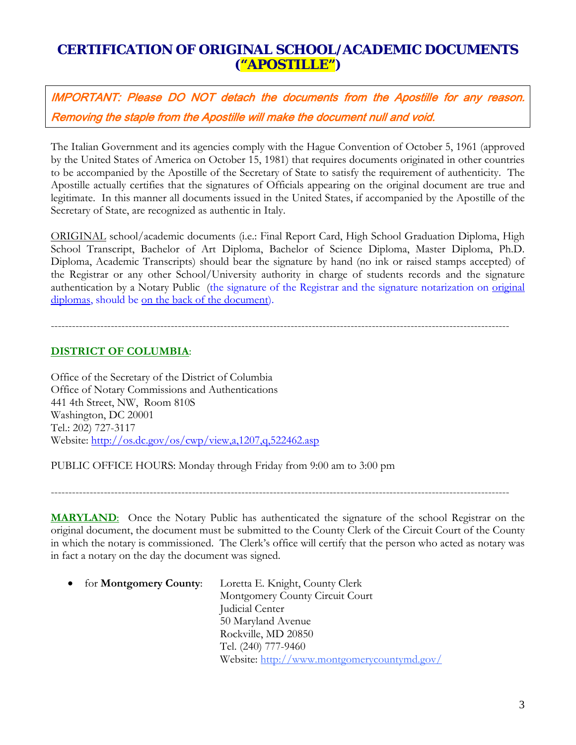### **CERTIFICATION OF ORIGINAL SCHOOL/ACADEMIC DOCUMENTS ("APOSTILLE")**

IMPORTANT: Please DO NOT detach the documents from the Apostille for any reason. Removing the staple from the Apostille will make the document null and void.

The Italian Government and its agencies comply with the Hague Convention of October 5, 1961 (approved by the United States of America on October 15, 1981) that requires documents originated in other countries to be accompanied by the Apostille of the Secretary of State to satisfy the requirement of authenticity. The Apostille actually certifies that the signatures of Officials appearing on the original document are true and legitimate. In this manner all documents issued in the United States, if accompanied by the Apostille of the Secretary of State, are recognized as authentic in Italy.

ORIGINAL school/academic documents (i.e.: Final Report Card, High School Graduation Diploma, High School Transcript, Bachelor of Art Diploma, Bachelor of Science Diploma, Master Diploma, Ph.D. Diploma, Academic Transcripts) should bear the signature by hand (no ink or raised stamps accepted) of the Registrar or any other School/University authority in charge of students records and the signature authentication by a Notary Public (the signature of the Registrar and the signature notarization on original diplomas, should be <u>on the back of the document</u>).

## ----------------------------------------------------------------------------------------------------------------------------------

### **DISTRICT OF COLUMBIA**:

Office of the Secretary of the District of Columbia Office of Notary Commissions and Authentications 441 4th Street, NW, Room 810S Washington, DC 20001 Tel.: 202) 727-3117 Website: http://os.dc.gov/os/cwp/view,a,1207,q,522462.asp

PUBLIC OFFICE HOURS: Monday through Friday from 9:00 am to 3:00 pm

----------------------------------------------------------------------------------------------------------------------------------

**MARYLAND**: Once the Notary Public has authenticated the signature of the school Registrar on the original document, the document must be submitted to the County Clerk of the Circuit Court of the County in which the notary is commissioned. The Clerk's office will certify that the person who acted as notary was in fact a notary on the day the document was signed.

• for **Montgomery County**: Loretta E. Knight, County Clerk

 Montgomery County Circuit Court Judicial Center 50 Maryland Avenue Rockville, MD 20850 Tel. (240) 777-9460 Website: http://www.montgomerycountymd.gov/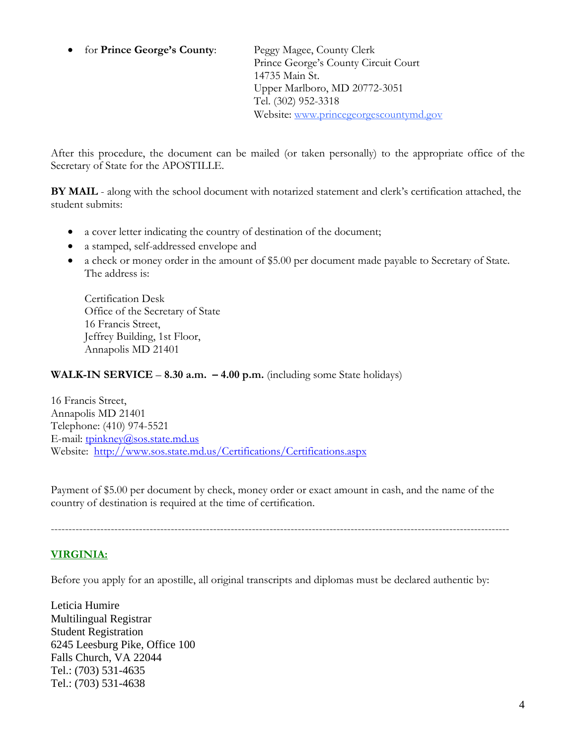• for **Prince George's County**: Peggy Magee, County Clerk

 Prince George's County Circuit Court 14735 Main St. Upper Marlboro, MD 20772-3051 Tel. (302) 952-3318 Website: www.princegeorgescountymd.gov

After this procedure, the document can be mailed (or taken personally) to the appropriate office of the Secretary of State for the APOSTILLE.

**BY MAIL** - along with the school document with notarized statement and clerk's certification attached, the student submits:

- a cover letter indicating the country of destination of the document;
- a stamped, self-addressed envelope and
- a check or money order in the amount of \$5.00 per document made payable to Secretary of State. The address is:

Certification Desk Office of the Secretary of State 16 Francis Street, Jeffrey Building, 1st Floor, Annapolis MD 21401

### **WALK-IN SERVICE** – **8.30 a.m. – 4.00 p.m.** (including some State holidays)

16 Francis Street, Annapolis MD 21401 Telephone: (410) 974-5521 E-mail: tpinkney@sos.state.md.us Website: http://www.sos.state.md.us/Certifications/Certifications.aspx

Payment of \$5.00 per document by check, money order or exact amount in cash, and the name of the country of destination is required at the time of certification.

#### ----------------------------------------------------------------------------------------------------------------------------------

### **VIRGINIA:**

Before you apply for an apostille, all original transcripts and diplomas must be declared authentic by:

Leticia Humire Multilingual Registrar Student Registration 6245 Leesburg Pike, Office 100 Falls Church, VA 22044 Tel.: (703) 531-4635 Tel.: (703) 531-4638